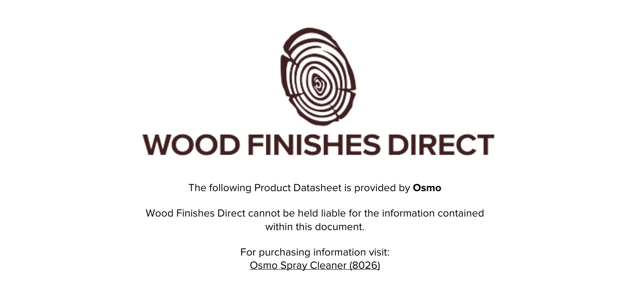

The following Product Datasheet is provided by **Osmo**

Wood Finishes Direct cannot be held liable for the information contained within this document

> For purchasing information visit: [Osmo Spray Cleaner \(8026\)](https://www.wood-finishes-direct.com/product/osmo-interior-spray-cleaner)